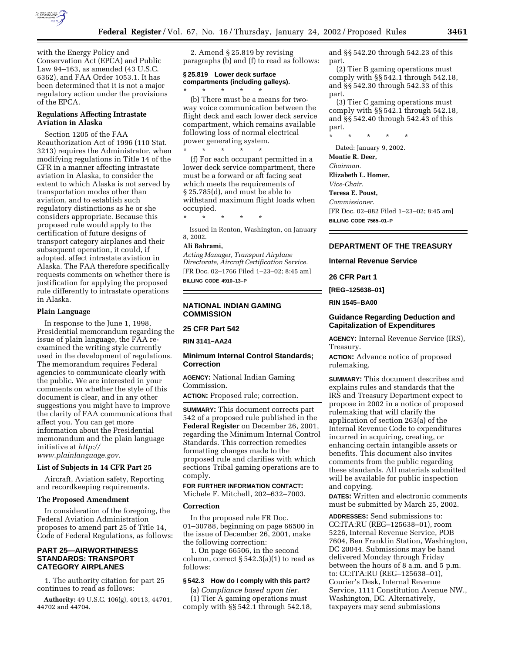

with the Energy Policy and Conservation Act (EPCA) and Public Law 94–163, as amended (43 U.S.C. 6362), and FAA Order 1053.1. It has been determined that it is not a major regulatory action under the provisions of the EPCA.

### **Regulations Affecting Intrastate Aviation in Alaska**

Section 1205 of the FAA Reauthorization Act of 1996 (110 Stat. 3213) requires the Administrator, when modifying regulations in Title 14 of the CFR in a manner affecting intrastate aviation in Alaska, to consider the extent to which Alaska is not served by transportation modes other than aviation, and to establish such regulatory distinctions as he or she considers appropriate. Because this proposed rule would apply to the certification of future designs of transport category airplanes and their subsequent operation, it could, if adopted, affect intrastate aviation in Alaska. The FAA therefore specifically requests comments on whether there is justification for applying the proposed rule differently to intrastate operations in Alaska.

#### **Plain Language**

In response to the June 1, 1998, Presidential memorandum regarding the issue of plain language, the FAA reexamined the writing style currently used in the development of regulations. The memorandum requires Federal agencies to communicate clearly with the public. We are interested in your comments on whether the style of this document is clear, and in any other suggestions you might have to improve the clarity of FAA communications that affect you. You can get more information about the Presidential memorandum and the plain language initiative at *http://*

*www.plainlanguage.gov.*

# **List of Subjects in 14 CFR Part 25**

Aircraft, Aviation safety, Reporting and recordkeeping requirements.

#### **The Proposed Amendment**

In consideration of the foregoing, the Federal Aviation Administration proposes to amend part 25 of Title 14, Code of Federal Regulations, as follows:

## **PART 25—AIRWORTHINESS STANDARDS: TRANSPORT CATEGORY AIRPLANES**

1. The authority citation for part 25 continues to read as follows:

**Authority:** 49 U.S.C. 106(g), 40113, 44701, 44702 and 44704.

2. Amend § 25.819 by revising paragraphs (b) and (f) to read as follows:

#### **§ 25.819 Lower deck surface compartments (including galleys).**

\* \* \* \* \*

(b) There must be a means for twoway voice communication between the flight deck and each lower deck service compartment, which remains available following loss of normal electrical power generating system.

\* \* \* \* \* (f) For each occupant permitted in a lower deck service compartment, there must be a forward or aft facing seat which meets the requirements of § 25.785(d), and must be able to withstand maximum flight loads when occupied.

\* \* \* \* \*

Issued in Renton, Washington, on January 8, 2002.

# **Ali Bahrami,**

*Acting Manager, Transport Airplane Directorate, Aircraft Certification Service.* [FR Doc. 02–1766 Filed 1–23–02; 8:45 am] **BILLING CODE 4910–13–P**

#### **NATIONAL INDIAN GAMING COMMISSION**

## **25 CFR Part 542**

**RIN 3141–AA24**

#### **Minimum Internal Control Standards; Correction**

**AGENCY:** National Indian Gaming Commission.

**ACTION:** Proposed rule; correction.

**SUMMARY:** This document corrects part 542 of a proposed rule published in the **Federal Register** on December 26, 2001, regarding the Minimum Internal Control Standards. This correction remedies formatting changes made to the proposed rule and clarifies with which sections Tribal gaming operations are to comply.

**FOR FURTHER INFORMATION CONTACT:** Michele F. Mitchell, 202–632–7003.

### **Correction**

In the proposed rule FR Doc. 01–30788, beginning on page 66500 in the issue of December 26, 2001, make the following correction:

1. On page 66506, in the second column, correct  $\S 542.3(a)(1)$  to read as follows:

# **§ 542.3 How do I comply with this part?**

(a) *Compliance based upon tier.* (1) Tier A gaming operations must comply with §§ 542.1 through 542.18, and §§ 542.20 through 542.23 of this part.

(2) Tier B gaming operations must comply with §§ 542.1 through 542.18, and §§ 542.30 through 542.33 of this part.

(3) Tier C gaming operations must comply with §§ 542.1 through 542.18, and §§ 542.40 through 542.43 of this part.

\* \* \* \* \*

Dated: January 9, 2002.

**Montie R. Deer,**

*Chairman.*

**Elizabeth L. Homer,**

*Vice-Chair.*

#### **Teresa E. Poust,** *Commissioner.*

[FR Doc. 02–882 Filed 1–23–02; 8:45 am] **BILLING CODE 7565–01–P**

# **DEPARTMENT OF THE TREASURY**

#### **Internal Revenue Service**

**26 CFR Part 1**

**[REG–125638–01]**

**RIN 1545–BA00**

# **Guidance Regarding Deduction and Capitalization of Expenditures**

**AGENCY:** Internal Revenue Service (IRS), Treasury.

**ACTION:** Advance notice of proposed rulemaking.

**SUMMARY:** This document describes and explains rules and standards that the IRS and Treasury Department expect to propose in 2002 in a notice of proposed rulemaking that will clarify the application of section 263(a) of the Internal Revenue Code to expenditures incurred in acquiring, creating, or enhancing certain intangible assets or benefits. This document also invites comments from the public regarding these standards. All materials submitted will be available for public inspection and copying.

**DATES:** Written and electronic comments must be submitted by March 25, 2002.

**ADDRESSES:** Send submissions to: CC:ITA:RU (REG–125638–01), room 5226, Internal Revenue Service, POB 7604, Ben Franklin Station, Washington, DC 20044. Submissions may be hand delivered Monday through Friday between the hours of 8 a.m. and 5 p.m. to: CC:ITA:RU (REG–125638–01), Courier's Desk, Internal Revenue Service, 1111 Constitution Avenue NW., Washington, DC. Alternatively, taxpayers may send submissions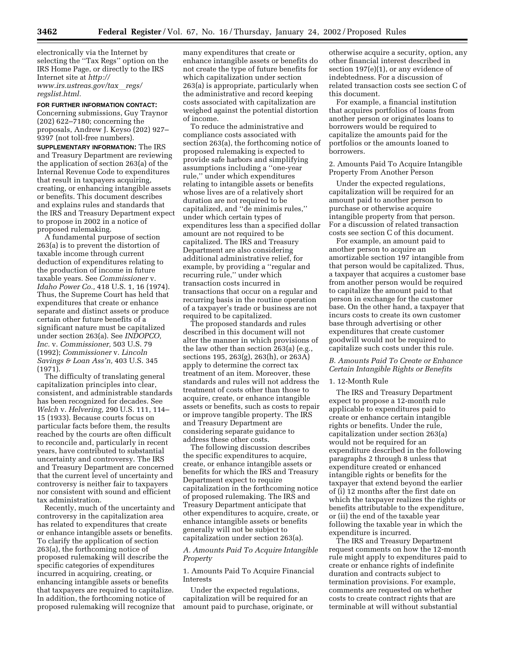electronically via the Internet by selecting the ''Tax Regs'' option on the IRS Home Page, or directly to the IRS Internet site at *http:// www.irs.ustreas.gov/tax*l*regs/ regslist.html.*

# **FOR FURTHER INFORMATION CONTACT:**

Concerning submissions, Guy Traynor (202) 622–7180; concerning the proposals, Andrew J. Keyso (202) 927– 9397 (not toll-free numbers).

**SUPPLEMENTARY INFORMATION:** The IRS and Treasury Department are reviewing the application of section 263(a) of the Internal Revenue Code to expenditures that result in taxpayers acquiring, creating, or enhancing intangible assets or benefits. This document describes and explains rules and standards that the IRS and Treasury Department expect to propose in 2002 in a notice of proposed rulemaking.

A fundamental purpose of section 263(a) is to prevent the distortion of taxable income through current deduction of expenditures relating to the production of income in future taxable years. See *Commissioner* v. *Idaho Power Co.,* 418 U.S. 1, 16 (1974). Thus, the Supreme Court has held that expenditures that create or enhance separate and distinct assets or produce certain other future benefits of a significant nature must be capitalized under section 263(a). See *INDOPCO, Inc.* v. *Commissioner,* 503 U.S. 79 (1992); *Commissioner* v. *Lincoln Savings & Loan Ass'n,* 403 U.S. 345 (1971).

The difficulty of translating general capitalization principles into clear, consistent, and administrable standards has been recognized for decades. See *Welch* v. *Helvering,* 290 U.S. 111, 114– 15 (1933). Because courts focus on particular facts before them, the results reached by the courts are often difficult to reconcile and, particularly in recent years, have contributed to substantial uncertainty and controversy. The IRS and Treasury Department are concerned that the current level of uncertainty and controversy is neither fair to taxpayers nor consistent with sound and efficient tax administration.

Recently, much of the uncertainty and controversy in the capitalization area has related to expenditures that create or enhance intangible assets or benefits. To clarify the application of section 263(a), the forthcoming notice of proposed rulemaking will describe the specific categories of expenditures incurred in acquiring, creating, or enhancing intangible assets or benefits that taxpayers are required to capitalize. In addition, the forthcoming notice of proposed rulemaking will recognize that many expenditures that create or enhance intangible assets or benefits do not create the type of future benefits for which capitalization under section 263(a) is appropriate, particularly when the administrative and record keeping costs associated with capitalization are weighed against the potential distortion of income.

To reduce the administrative and compliance costs associated with section 263(a), the forthcoming notice of proposed rulemaking is expected to provide safe harbors and simplifying assumptions including a ''one-year rule,'' under which expenditures relating to intangible assets or benefits whose lives are of a relatively short duration are not required to be capitalized, and ''de minimis rules,'' under which certain types of expenditures less than a specified dollar amount are not required to be capitalized. The IRS and Treasury Department are also considering additional administrative relief, for example, by providing a ''regular and recurring rule,'' under which transaction costs incurred in transactions that occur on a regular and recurring basis in the routine operation of a taxpayer's trade or business are not required to be capitalized.

The proposed standards and rules described in this document will not alter the manner in which provisions of the law other than section 263(a) (e.g., sections 195, 263(g), 263(h), or 263A) apply to determine the correct tax treatment of an item. Moreover, these standards and rules will not address the treatment of costs other than those to acquire, create, or enhance intangible assets or benefits, such as costs to repair or improve tangible property. The IRS and Treasury Department are considering separate guidance to address these other costs.

The following discussion describes the specific expenditures to acquire, create, or enhance intangible assets or benefits for which the IRS and Treasury Department expect to require capitalization in the forthcoming notice of proposed rulemaking. The IRS and Treasury Department anticipate that other expenditures to acquire, create, or enhance intangible assets or benefits generally will not be subject to capitalization under section 263(a).

*A. Amounts Paid To Acquire Intangible Property*

1. Amounts Paid To Acquire Financial Interests

Under the expected regulations, capitalization will be required for an amount paid to purchase, originate, or

otherwise acquire a security, option, any other financial interest described in section 197(e)(1), or any evidence of indebtedness. For a discussion of related transaction costs see section C of this document.

For example, a financial institution that acquires portfolios of loans from another person or originates loans to borrowers would be required to capitalize the amounts paid for the portfolios or the amounts loaned to borrowers.

2. Amounts Paid To Acquire Intangible Property From Another Person

Under the expected regulations, capitalization will be required for an amount paid to another person to purchase or otherwise acquire intangible property from that person. For a discussion of related transaction costs see section C of this document.

For example, an amount paid to another person to acquire an amortizable section 197 intangible from that person would be capitalized. Thus, a taxpayer that acquires a customer base from another person would be required to capitalize the amount paid to that person in exchange for the customer base. On the other hand, a taxpayer that incurs costs to create its own customer base through advertising or other expenditures that create customer goodwill would not be required to capitalize such costs under this rule.

## *B. Amounts Paid To Create or Enhance Certain Intangible Rights or Benefits*

### 1. 12-Month Rule

The IRS and Treasury Department expect to propose a 12-month rule applicable to expenditures paid to create or enhance certain intangible rights or benefits. Under the rule, capitalization under section 263(a) would not be required for an expenditure described in the following paragraphs 2 through 8 unless that expenditure created or enhanced intangible rights or benefits for the taxpayer that extend beyond the earlier of (i) 12 months after the first date on which the taxpayer realizes the rights or benefits attributable to the expenditure, or (ii) the end of the taxable year following the taxable year in which the expenditure is incurred.

The IRS and Treasury Department request comments on how the 12-month rule might apply to expenditures paid to create or enhance rights of indefinite duration and contracts subject to termination provisions. For example, comments are requested on whether costs to create contract rights that are terminable at will without substantial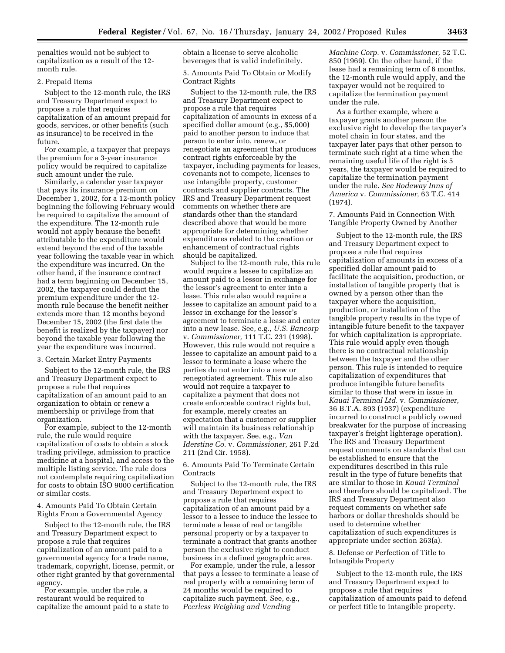penalties would not be subject to capitalization as a result of the 12 month rule.

# 2. Prepaid Items

Subject to the 12-month rule, the IRS and Treasury Department expect to propose a rule that requires capitalization of an amount prepaid for goods, services, or other benefits (such as insurance) to be received in the future.

For example, a taxpayer that prepays the premium for a 3-year insurance policy would be required to capitalize such amount under the rule.

Similarly, a calendar year taxpayer that pays its insurance premium on December 1, 2002, for a 12-month policy beginning the following February would be required to capitalize the amount of the expenditure. The 12-month rule would not apply because the benefit attributable to the expenditure would extend beyond the end of the taxable year following the taxable year in which the expenditure was incurred. On the other hand, if the insurance contract had a term beginning on December 15, 2002, the taxpayer could deduct the premium expenditure under the 12 month rule because the benefit neither extends more than 12 months beyond December 15, 2002 (the first date the benefit is realized by the taxpayer) nor beyond the taxable year following the year the expenditure was incurred.

# 3. Certain Market Entry Payments

Subject to the 12-month rule, the IRS and Treasury Department expect to propose a rule that requires capitalization of an amount paid to an organization to obtain or renew a membership or privilege from that organization.

For example, subject to the 12-month rule, the rule would require capitalization of costs to obtain a stock trading privilege, admission to practice medicine at a hospital, and access to the multiple listing service. The rule does not contemplate requiring capitalization for costs to obtain ISO 9000 certification or similar costs.

4. Amounts Paid To Obtain Certain Rights From a Governmental Agency

Subject to the 12-month rule, the IRS and Treasury Department expect to propose a rule that requires capitalization of an amount paid to a governmental agency for a trade name, trademark, copyright, license, permit, or other right granted by that governmental agency.

For example, under the rule, a restaurant would be required to capitalize the amount paid to a state to obtain a license to serve alcoholic beverages that is valid indefinitely.

5. Amounts Paid To Obtain or Modify Contract Rights

Subject to the 12-month rule, the IRS and Treasury Department expect to propose a rule that requires capitalization of amounts in excess of a specified dollar amount (e.g., \$5,000) paid to another person to induce that person to enter into, renew, or renegotiate an agreement that produces contract rights enforceable by the taxpayer, including payments for leases, covenants not to compete, licenses to use intangible property, customer contracts and supplier contracts. The IRS and Treasury Department request comments on whether there are standards other than the standard described above that would be more appropriate for determining whether expenditures related to the creation or enhancement of contractual rights should be capitalized.

Subject to the 12-month rule, this rule would require a lessee to capitalize an amount paid to a lessor in exchange for the lessor's agreement to enter into a lease. This rule also would require a lessee to capitalize an amount paid to a lessor in exchange for the lessor's agreement to terminate a lease and enter into a new lease. See, e.g., *U.S. Bancorp* v. *Commissioner,* 111 T.C. 231 (1998). However, this rule would not require a lessee to capitalize an amount paid to a lessor to terminate a lease where the parties do not enter into a new or renegotiated agreement. This rule also would not require a taxpayer to capitalize a payment that does not create enforceable contract rights but, for example, merely creates an expectation that a customer or supplier will maintain its business relationship with the taxpayer. See, e.g., *Van Iderstine Co.* v. *Commissioner,* 261 F.2d 211 (2nd Cir. 1958).

6. Amounts Paid To Terminate Certain **Contracts** 

Subject to the 12-month rule, the IRS and Treasury Department expect to propose a rule that requires capitalization of an amount paid by a lessor to a lessee to induce the lessee to terminate a lease of real or tangible personal property or by a taxpayer to terminate a contract that grants another person the exclusive right to conduct business in a defined geographic area.

For example, under the rule, a lessor that pays a lessee to terminate a lease of real property with a remaining term of 24 months would be required to capitalize such payment. See, e.g., *Peerless Weighing and Vending*

*Machine Corp.* v. *Commissioner,* 52 T.C. 850 (1969). On the other hand, if the lease had a remaining term of 6 months, the 12-month rule would apply, and the taxpayer would not be required to capitalize the termination payment under the rule.

As a further example, where a taxpayer grants another person the exclusive right to develop the taxpayer's motel chain in four states, and the taxpayer later pays that other person to terminate such right at a time when the remaining useful life of the right is 5 years, the taxpayer would be required to capitalize the termination payment under the rule. *See Rodeway Inns of America* v. *Commissioner,* 63 T.C. 414 (1974).

7. Amounts Paid in Connection With Tangible Property Owned by Another

Subject to the 12-month rule, the IRS and Treasury Department expect to propose a rule that requires capitalization of amounts in excess of a specified dollar amount paid to facilitate the acquisition, production, or installation of tangible property that is owned by a person other than the taxpayer where the acquisition, production, or installation of the tangible property results in the type of intangible future benefit to the taxpayer for which capitalization is appropriate. This rule would apply even though there is no contractual relationship between the taxpayer and the other person. This rule is intended to require capitalization of expenditures that produce intangible future benefits similar to those that were in issue in *Kauai Terminal Ltd.* v. *Commissioner,* 36 B.T.A. 893 (1937) (expenditure incurred to construct a publicly owned breakwater for the purpose of increasing taxpayer's freight lighterage operation). The IRS and Treasury Department request comments on standards that can be established to ensure that the expenditures described in this rule result in the type of future benefits that are similar to those in *Kauai Terminal* and therefore should be capitalized. The IRS and Treasury Department also request comments on whether safe harbors or dollar thresholds should be used to determine whether capitalization of such expenditures is appropriate under section 263(a).

# 8. Defense or Perfection of Title to Intangible Property

Subject to the 12-month rule, the IRS and Treasury Department expect to propose a rule that requires capitalization of amounts paid to defend or perfect title to intangible property.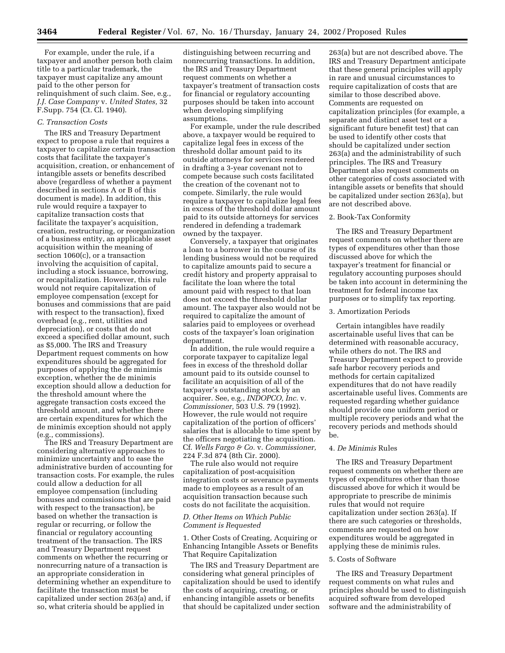For example, under the rule, if a taxpayer and another person both claim title to a particular trademark, the taxpayer must capitalize any amount paid to the other person for relinquishment of such claim. See, e.g., *J.J. Case Company* v. *United States,* 32 F.Supp. 754 (Ct. Cl. 1940).

# *C. Transaction Costs*

The IRS and Treasury Department expect to propose a rule that requires a taxpayer to capitalize certain transaction costs that facilitate the taxpayer's acquisition, creation, or enhancement of intangible assets or benefits described above (regardless of whether a payment described in sections A or B of this document is made). In addition, this rule would require a taxpayer to capitalize transaction costs that facilitate the taxpayer's acquisition, creation, restructuring, or reorganization of a business entity, an applicable asset acquisition within the meaning of section 1060(c), or a transaction involving the acquisition of capital, including a stock issuance, borrowing, or recapitalization. However, this rule would not require capitalization of employee compensation (except for bonuses and commissions that are paid with respect to the transaction), fixed overhead (e.g., rent, utilities and depreciation), or costs that do not exceed a specified dollar amount, such as \$5,000. The IRS and Treasury Department request comments on how expenditures should be aggregated for purposes of applying the de minimis exception, whether the de minimis exception should allow a deduction for the threshold amount where the aggregate transaction costs exceed the threshold amount, and whether there are certain expenditures for which the de minimis exception should not apply (e.g., commissions).

The IRS and Treasury Department are considering alternative approaches to minimize uncertainty and to ease the administrative burden of accounting for transaction costs. For example, the rules could allow a deduction for all employee compensation (including bonuses and commissions that are paid with respect to the transaction), be based on whether the transaction is regular or recurring, or follow the financial or regulatory accounting treatment of the transaction. The IRS and Treasury Department request comments on whether the recurring or nonrecurring nature of a transaction is an appropriate consideration in determining whether an expenditure to facilitate the transaction must be capitalized under section 263(a) and, if so, what criteria should be applied in

distinguishing between recurring and nonrecurring transactions. In addition, the IRS and Treasury Department request comments on whether a taxpayer's treatment of transaction costs for financial or regulatory accounting purposes should be taken into account when developing simplifying assumptions.

For example, under the rule described above, a taxpayer would be required to capitalize legal fees in excess of the threshold dollar amount paid to its outside attorneys for services rendered in drafting a 3-year covenant not to compete because such costs facilitated the creation of the covenant not to compete. Similarly, the rule would require a taxpayer to capitalize legal fees in excess of the threshold dollar amount paid to its outside attorneys for services rendered in defending a trademark owned by the taxpayer.

Conversely, a taxpayer that originates a loan to a borrower in the course of its lending business would not be required to capitalize amounts paid to secure a credit history and property appraisal to facilitate the loan where the total amount paid with respect to that loan does not exceed the threshold dollar amount. The taxpayer also would not be required to capitalize the amount of salaries paid to employees or overhead costs of the taxpayer's loan origination department.

In addition, the rule would require a corporate taxpayer to capitalize legal fees in excess of the threshold dollar amount paid to its outside counsel to facilitate an acquisition of all of the taxpayer's outstanding stock by an acquirer. See, e.g., *INDOPCO, Inc.* v. *Commissioner,* 503 U.S. 79 (1992). However, the rule would not require capitalization of the portion of officers' salaries that is allocable to time spent by the officers negotiating the acquisition. Cf. *Wells Fargo & Co.* v. *Commissioner,* 224 F.3d 874 (8th Cir. 2000).

The rule also would not require capitalization of post-acquisition integration costs or severance payments made to employees as a result of an acquisition transaction because such costs do not facilitate the acquisition.

### *D. Other Items on Which Public Comment is Requested*

1. Other Costs of Creating, Acquiring or Enhancing Intangible Assets or Benefits That Require Capitalization

The IRS and Treasury Department are considering what general principles of capitalization should be used to identify the costs of acquiring, creating, or enhancing intangible assets or benefits that should be capitalized under section

263(a) but are not described above. The IRS and Treasury Department anticipate that these general principles will apply in rare and unusual circumstances to require capitalization of costs that are similar to those described above. Comments are requested on capitalization principles (for example, a separate and distinct asset test or a significant future benefit test) that can be used to identify other costs that should be capitalized under section 263(a) and the administrability of such principles. The IRS and Treasury Department also request comments on other categories of costs associated with intangible assets or benefits that should be capitalized under section 263(a), but are not described above.

### 2. Book-Tax Conformity

The IRS and Treasury Department request comments on whether there are types of expenditures other than those discussed above for which the taxpayer's treatment for financial or regulatory accounting purposes should be taken into account in determining the treatment for federal income tax purposes or to simplify tax reporting.

# 3. Amortization Periods

Certain intangibles have readily ascertainable useful lives that can be determined with reasonable accuracy, while others do not. The IRS and Treasury Department expect to provide safe harbor recovery periods and methods for certain capitalized expenditures that do not have readily ascertainable useful lives. Comments are requested regarding whether guidance should provide one uniform period or multiple recovery periods and what the recovery periods and methods should be.

### 4. *De Minimis* Rules

The IRS and Treasury Department request comments on whether there are types of expenditures other than those discussed above for which it would be appropriate to prescribe de minimis rules that would not require capitalization under section 263(a). If there are such categories or thresholds, comments are requested on how expenditures would be aggregated in applying these de minimis rules.

#### 5. Costs of Software

The IRS and Treasury Department request comments on what rules and principles should be used to distinguish acquired software from developed software and the administrability of